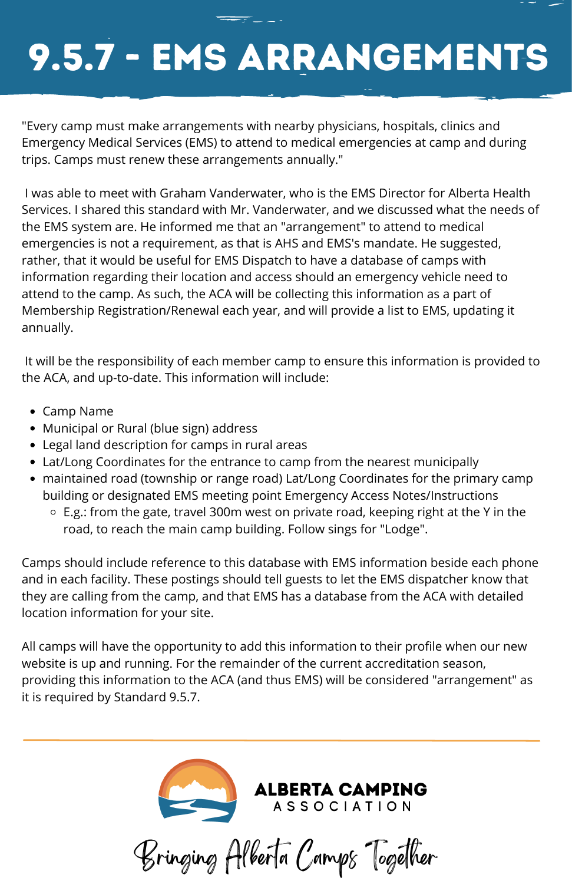

## 9.5.7 - EMS ArrangementS

- Camp Name
- Municipal or Rural (blue sign) address
- Legal land description for camps in rural areas
- Lat/Long Coordinates for the entrance to camp from the nearest municipally
- maintained road (township or range road) Lat/Long Coordinates for the primary camp building or designated EMS meeting point Emergency Access Notes/Instructions
	- E.g.: from the gate, travel 300m west on private road, keeping right at the Y in the road, to reach the main camp building. Follow sings for "Lodge".

"Every camp must make arrangements with nearby physicians, hospitals, clinics and Emergency Medical Services (EMS) to attend to medical emergencies at camp and during trips. Camps must renew these arrangements annually."

I was able to meet with Graham Vanderwater, who is the EMS Director for Alberta Health Services. I shared this standard with Mr. Vanderwater, and we discussed what the needs of the EMS system are. He informed me that an "arrangement" to attend to medical emergencies is not a requirement, as that is AHS and EMS's mandate. He suggested, rather, that it would be useful for EMS Dispatch to have a database of camps with information regarding their location and access should an emergency vehicle need to attend to the camp. As such, the ACA will be collecting this information as a part of Membership Registration/Renewal each year, and will provide a list to EMS, updating it annually.

It will be the responsibility of each member camp to ensure this information is provided to the ACA, and up-to-date. This information will include:

Camps should include reference to this database with EMS information beside each phone and in each facility. These postings should tell guests to let the EMS dispatcher know that they are calling from the camp, and that EMS has a database from the ACA with detailed location information for your site.

All camps will have the opportunity to add this information to their profile when our new website is up and running. For the remainder of the current accreditation season, providing this information to the ACA (and thus EMS) will be considered "arrangement" as it is required by Standard 9.5.7.